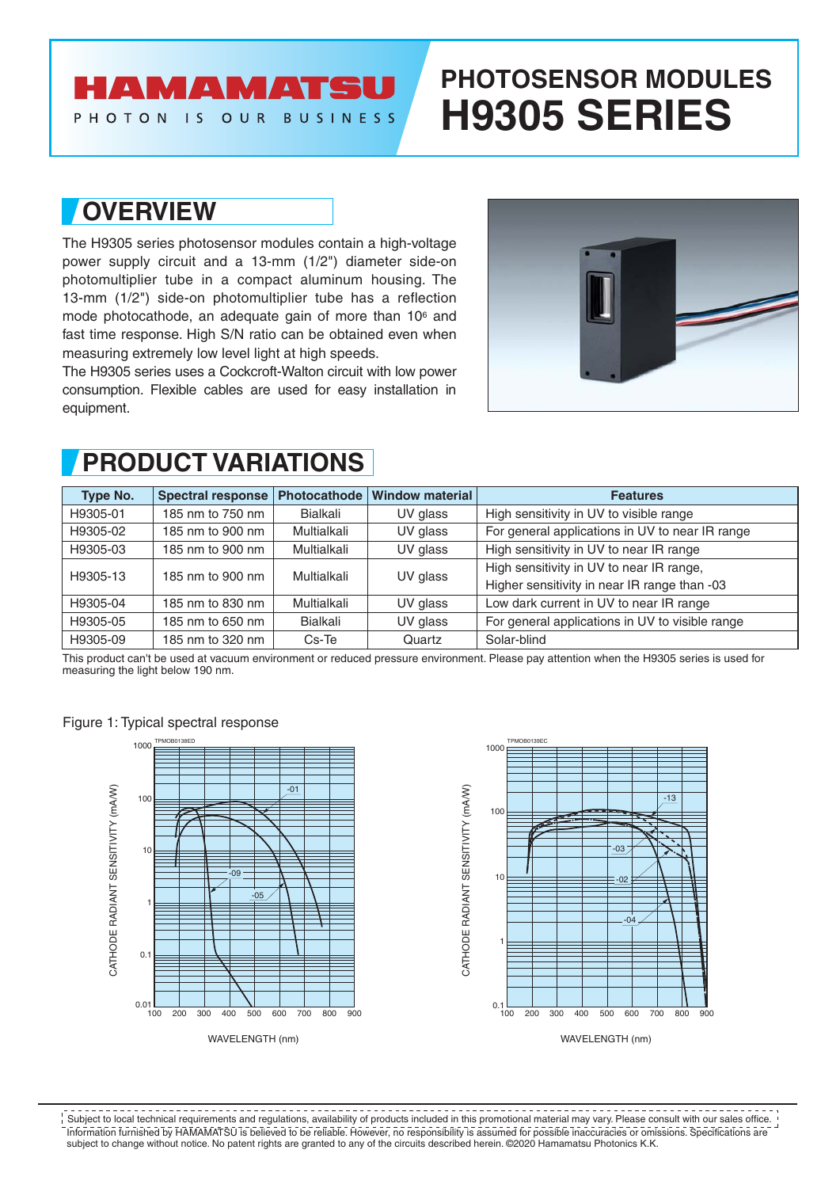### **AMAMATS**

#### PHOTON IS OUR **BUSINESS**

# **PHOTOSENSOR MODULES H9305 SERIES**

### **OVERVIEW**

The H9305 series photosensor modules contain a high-voltage power supply circuit and a 13-mm (1/2") diameter side-on photomultiplier tube in a compact aluminum housing. The 13-mm (1/2") side-on photomultiplier tube has a reflection mode photocathode, an adequate gain of more than 106 and fast time response. High S/N ratio can be obtained even when measuring extremely low level light at high speeds.

The H9305 series uses a Cockcroft-Walton circuit with low power consumption. Flexible cables are used for easy installation in equipment.



## **PRODUCT VARIATIONS**

| Type No. | <b>Spectral response</b> | Photocathode | <b>Window material</b> | <b>Features</b>                                 |
|----------|--------------------------|--------------|------------------------|-------------------------------------------------|
| H9305-01 | 185 nm to 750 nm         | Bialkali     | UV glass               | High sensitivity in UV to visible range         |
| H9305-02 | 185 nm to 900 nm         | Multialkali  | UV glass               | For general applications in UV to near IR range |
| H9305-03 | 185 nm to 900 nm         | Multialkali  | UV glass               | High sensitivity in UV to near IR range         |
| H9305-13 | 185 nm to 900 nm         | Multialkali  | UV glass               | High sensitivity in UV to near IR range,        |
|          |                          |              |                        | Higher sensitivity in near IR range than -03    |
| H9305-04 | 185 nm to 830 nm         | Multialkali  | UV glass               | Low dark current in UV to near IR range         |
| H9305-05 | 185 nm to 650 nm         | Bialkali     | UV glass               | For general applications in UV to visible range |
| H9305-09 | 185 nm to 320 nm         | Cs-Te        | Quartz                 | Solar-blind                                     |

This product can't be used at vacuum environment or reduced pressure environment. Please pay attention when the H9305 series is used for measuring the light below 190 nm.

Figure 1: Typical spectral response





Information furnished by HAMAMATSU is believed to be reliable. However, no responsibility is assumed for possible inaccuracies or omissions. Specifications are subject to change without notice. No patent rights are granted to any of the circuits described herein. ©2020 Hamamatsu Photonics K.K. Subject to local technical requirements and regulations, availability of products included in this promotional material may vary. Please consult with our sales office.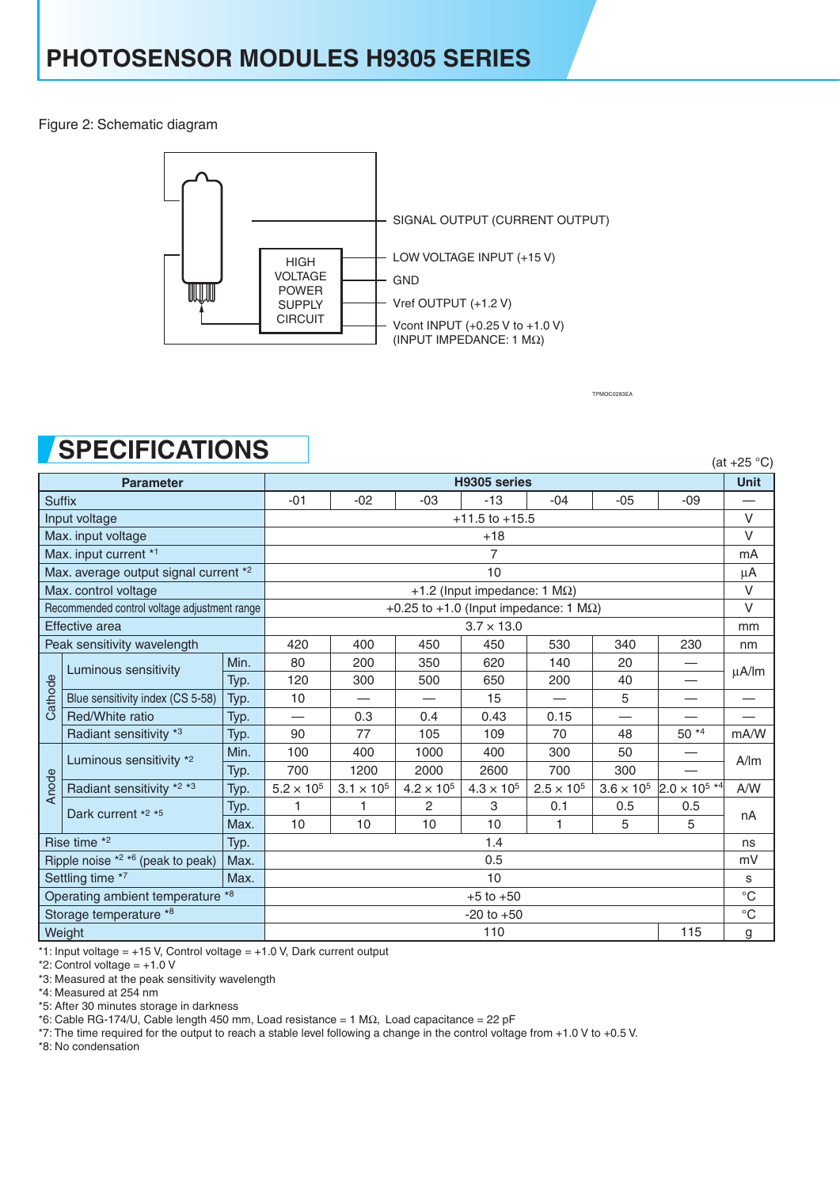Figure 2: Schematic diagram



TPMOC0283EA

# **SPECIFICATIONS**

|                                              | טו בעון וטחוש                    |      |                                               |                     |                     |                     |                     |                     |                        | $(at +25 °C)$     |
|----------------------------------------------|----------------------------------|------|-----------------------------------------------|---------------------|---------------------|---------------------|---------------------|---------------------|------------------------|-------------------|
| <b>Parameter</b>                             |                                  |      | H9305 series                                  |                     |                     |                     |                     |                     |                        | <b>Unit</b>       |
| <b>Suffix</b>                                |                                  |      | $-01$                                         | $-02$               | $-03$               | $-13$               | $-04$               | $-05$               | $-09$                  |                   |
| Input voltage                                |                                  |      | $+11.5$ to $+15.5$                            |                     |                     |                     |                     |                     |                        |                   |
| Max. input voltage                           |                                  |      | $+18$                                         |                     |                     |                     |                     |                     |                        |                   |
| Max. input current *1                        |                                  |      | 7                                             |                     |                     |                     |                     |                     |                        |                   |
| Max. average output signal current *2        |                                  |      | 10                                            |                     |                     |                     |                     |                     |                        |                   |
| Max. control voltage                         |                                  |      | +1.2 (Input impedance: 1 $M\Omega$ )          |                     |                     |                     |                     |                     |                        |                   |
| Recommended control voltage adjustment range |                                  |      | +0.25 to +1.0 (Input impedance: 1 $M\Omega$ ) |                     |                     |                     |                     |                     |                        |                   |
| <b>Effective</b> area                        |                                  |      | $3.7 \times 13.0$                             |                     |                     |                     |                     |                     |                        | mm                |
| Peak sensitivity wavelength                  |                                  |      | 420                                           | 400                 | 450                 | 450                 | 530                 | 340                 | 230                    | nm                |
| Cathode                                      | Luminous sensitivity             | Min. | 80                                            | 200                 | 350                 | 620                 | 140                 | 20                  |                        | $\mu$ A/Im        |
|                                              |                                  | Typ. | 120                                           | 300                 | 500                 | 650                 | 200                 | 40                  |                        |                   |
|                                              | Blue sensitivity index (CS 5-58) | Typ. | 10                                            |                     |                     | 15                  |                     | 5                   | —                      |                   |
|                                              | Red/White ratio                  | Typ. |                                               | 0.3                 | 0.4                 | 0.43                | 0.15                |                     |                        |                   |
|                                              | Radiant sensitivity *3           | Typ. | 90                                            | 77                  | 105                 | 109                 | 70                  | 48                  | 50 *4                  | mA/W              |
|                                              | Luminous sensitivity *2          | Min. | 100                                           | 400                 | 1000                | 400                 | 300                 | 50                  |                        | A/m               |
| Anode                                        |                                  | Typ. | 700                                           | 1200                | 2000                | 2600                | 700                 | 300                 |                        |                   |
|                                              | Radiant sensitivity *2 *3        | Typ. | $5.2\times10^5$                               | $3.1 \times 10^{5}$ | $4.2 \times 10^{5}$ | $4.3 \times 10^{5}$ | $2.5 \times 10^{5}$ | $3.6 \times 10^{5}$ | $2.0 \times 10^{5}$ *4 | A/W               |
|                                              | Dark current *2 *5               | Typ. | 1                                             | 1                   | $\mathbf{2}$        | 3                   | 0.1                 | 0.5                 | 0.5                    | nA                |
|                                              |                                  | Max. | 10                                            | 10                  | 10                  | 10                  | 1                   | 5                   | 5                      |                   |
| Rise time $*2$<br>Typ.                       |                                  |      | 1.4                                           |                     |                     |                     |                     |                     |                        | ns                |
| Ripple noise $*2 *6$ (peak to peak)<br>Max.  |                                  |      | 0.5                                           |                     |                     |                     |                     |                     |                        | mV                |
| Settling time *7<br>Max.                     |                                  |      | 10                                            |                     |                     |                     |                     |                     |                        | S                 |
| Operating ambient temperature *8             |                                  |      | $+5$ to $+50$                                 |                     |                     |                     |                     |                     |                        | $^{\circ}C$       |
| Storage temperature *8                       |                                  |      | $-20$ to $+50$                                |                     |                     |                     |                     |                     |                        | $^{\circ}{\rm C}$ |
| Weight                                       |                                  |      | 110<br>115                                    |                     |                     |                     |                     |                     | g                      |                   |

 $*1$ : Input voltage = +15 V, Control voltage = +1.0 V, Dark current output

\*2: Control voltage =  $+1.0 V$ 

\*3: Measured at the peak sensitivity wavelength

\*4: Measured at 254 nm

\*5: After 30 minutes storage in darkness

\*6: Cable RG-174/U, Cable length 450 mm, Load resistance = 1 MΩ, Load capacitance = 22 pF

\*7: The time required for the output to reach a stable level following a change in the control voltage from +1.0 V to +0.5 V.

\*8: No condensation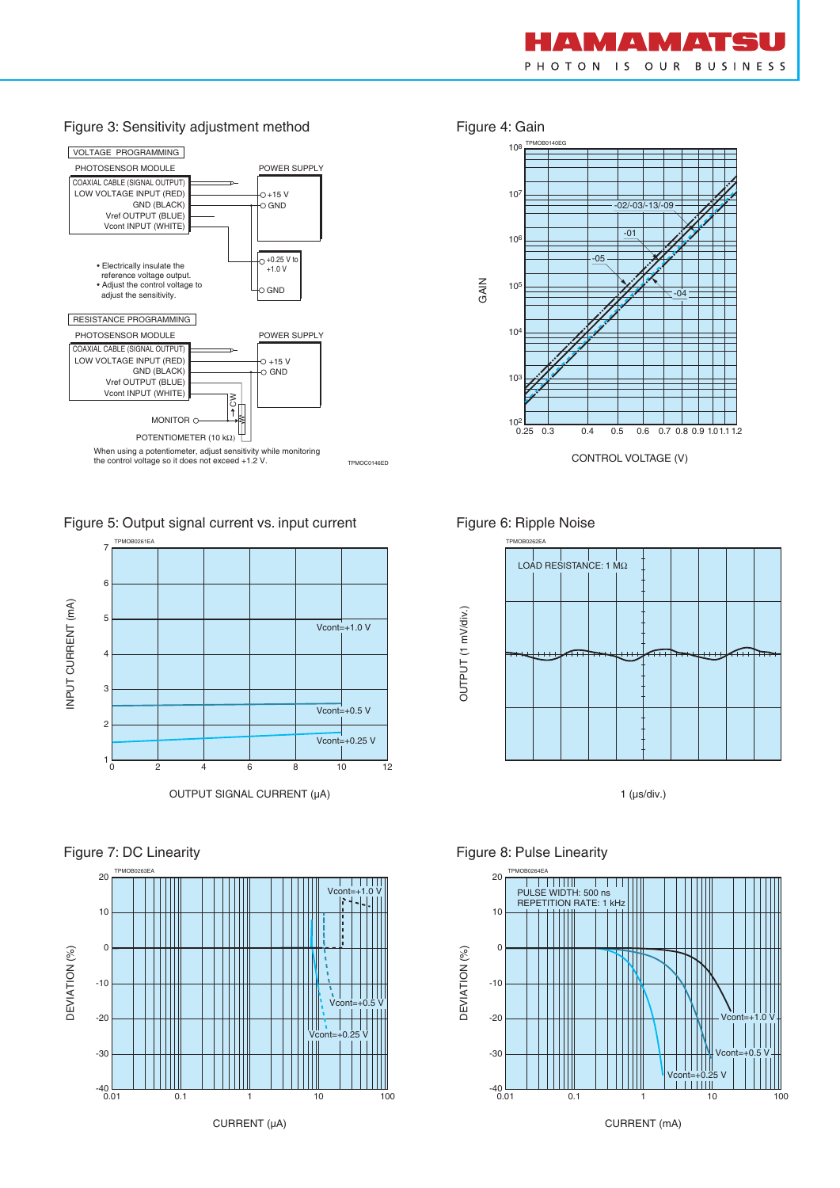

#### Figure 3: Sensitivity adjustment method Figure 4: Gain



Figure 5: Output signal current vs. input current









Figure 6: Ripple Noise



1 (µs/div.)





Figure 8: Pulse Linearity